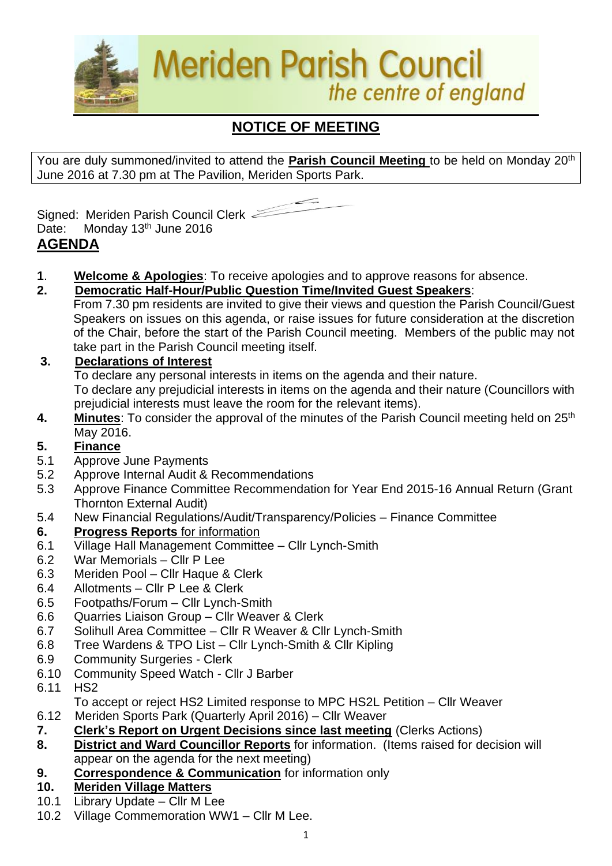

# **NOTICE OF MEETING**

You are duly summoned/invited to attend the **Parish Council Meeting** to be held on Monday 20th June 2016 at 7.30 pm at The Pavilion, Meriden Sports Park.



Signed: Meriden Parish Council Clerk Date: Monday 13<sup>th</sup> June 2016 **AGENDA**

- **1**. **Welcome & Apologies**: To receive apologies and to approve reasons for absence.
- **2. Democratic Half-Hour/Public Question Time/Invited Guest Speakers**:

From 7.30 pm residents are invited to give their views and question the Parish Council/Guest Speakers on issues on this agenda, or raise issues for future consideration at the discretion of the Chair, before the start of the Parish Council meeting. Members of the public may not take part in the Parish Council meeting itself.

# **3. Declarations of Interest**

To declare any personal interests in items on the agenda and their nature.

To declare any prejudicial interests in items on the agenda and their nature (Councillors with prejudicial interests must leave the room for the relevant items).

4. Minutes: To consider the approval of the minutes of the Parish Council meeting held on 25<sup>th</sup> May 2016.

# **5. Finance**

- 5.1 Approve June Payments
- 5.2 Approve Internal Audit & Recommendations
- 5.3 Approve Finance Committee Recommendation for Year End 2015-16 Annual Return (Grant Thornton External Audit)
- 5.4 New Financial Regulations/Audit/Transparency/Policies Finance Committee
- **6. Progress Reports** for information
- 6.1 Village Hall Management Committee Cllr Lynch-Smith
- 6.2 War Memorials Cllr P Lee
- 6.3 Meriden Pool Cllr Haque & Clerk
- 6.4 Allotments Cllr P Lee & Clerk
- 6.5 Footpaths/Forum Cllr Lynch-Smith
- 6.6 Quarries Liaison Group Cllr Weaver & Clerk
- 6.7 Solihull Area Committee Cllr R Weaver & Cllr Lynch-Smith
- 6.8 Tree Wardens & TPO List Cllr Lynch-Smith & Cllr Kipling
- 6.9 Community Surgeries Clerk
- 6.10 Community Speed Watch Cllr J Barber
- 6.11 HS2
- To accept or reject HS2 Limited response to MPC HS2L Petition Cllr Weaver
- 6.12Meriden Sports Park (Quarterly April 2016) Cllr Weaver
- **7. Clerk's Report on Urgent Decisions since last meeting** (Clerks Actions)
- **8. District and Ward Councillor Reports** for information. (Items raised for decision will appear on the agenda for the next meeting)
- **9. Correspondence & Communication** for information only
- **10. Meriden Village Matters**
- 10.1 Library Update Cllr M Lee
- 10.2 Village Commemoration WW1 Cllr M Lee.